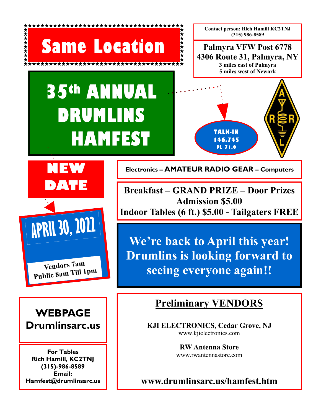